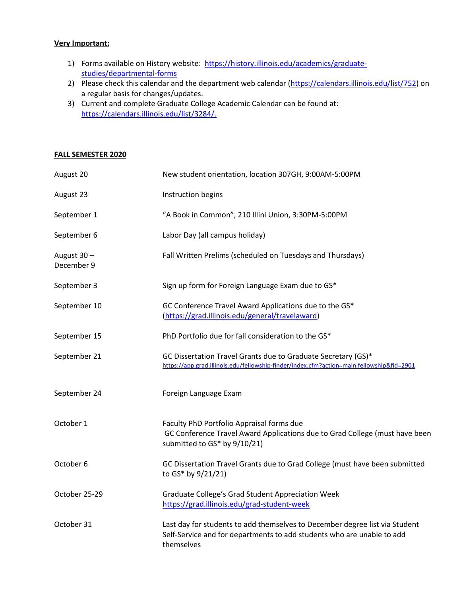## **Very Important:**

- 1) Forms available on History website: [https://history.illinois.edu/academics/graduate](https://history.illinois.edu/academics/graduate-studies/departmental-forms)[studies/departmental-forms](https://history.illinois.edu/academics/graduate-studies/departmental-forms)
- 2) Please check this calendar and the department web calendar [\(https://calendars.illinois.edu/list/752\)](https://calendars.illinois.edu/list/752) on a regular basis for changes/updates.
- 3) Current and complete Graduate College Academic Calendar can be found at: [https://calendars.illinois.edu/list/3284/.](https://calendars.illinois.edu/list/3284/)

## **FALL SEMESTER 2020**

| August 20                 | New student orientation, location 307GH, 9:00AM-5:00PM                                                                                                              |
|---------------------------|---------------------------------------------------------------------------------------------------------------------------------------------------------------------|
| August 23                 | Instruction begins                                                                                                                                                  |
| September 1               | "A Book in Common", 210 Illini Union, 3:30PM-5:00PM                                                                                                                 |
| September 6               | Labor Day (all campus holiday)                                                                                                                                      |
| August 30 -<br>December 9 | Fall Written Prelims (scheduled on Tuesdays and Thursdays)                                                                                                          |
| September 3               | Sign up form for Foreign Language Exam due to GS*                                                                                                                   |
| September 10              | GC Conference Travel Award Applications due to the GS*<br>(https://grad.illinois.edu/general/travelaward)                                                           |
| September 15              | PhD Portfolio due for fall consideration to the GS*                                                                                                                 |
| September 21              | GC Dissertation Travel Grants due to Graduate Secretary (GS)*<br>https://app.grad.illinois.edu/fellowship-finder/index.cfm?action=main.fellowship&fid=2901          |
| September 24              | Foreign Language Exam                                                                                                                                               |
| October 1                 | Faculty PhD Portfolio Appraisal forms due<br>GC Conference Travel Award Applications due to Grad College (must have been<br>submitted to GS* by 9/10/21)            |
| October 6                 | GC Dissertation Travel Grants due to Grad College (must have been submitted<br>to GS* by 9/21/21)                                                                   |
| October 25-29             | Graduate College's Grad Student Appreciation Week<br>https://grad.illinois.edu/grad-student-week                                                                    |
| October 31                | Last day for students to add themselves to December degree list via Student<br>Self-Service and for departments to add students who are unable to add<br>themselves |